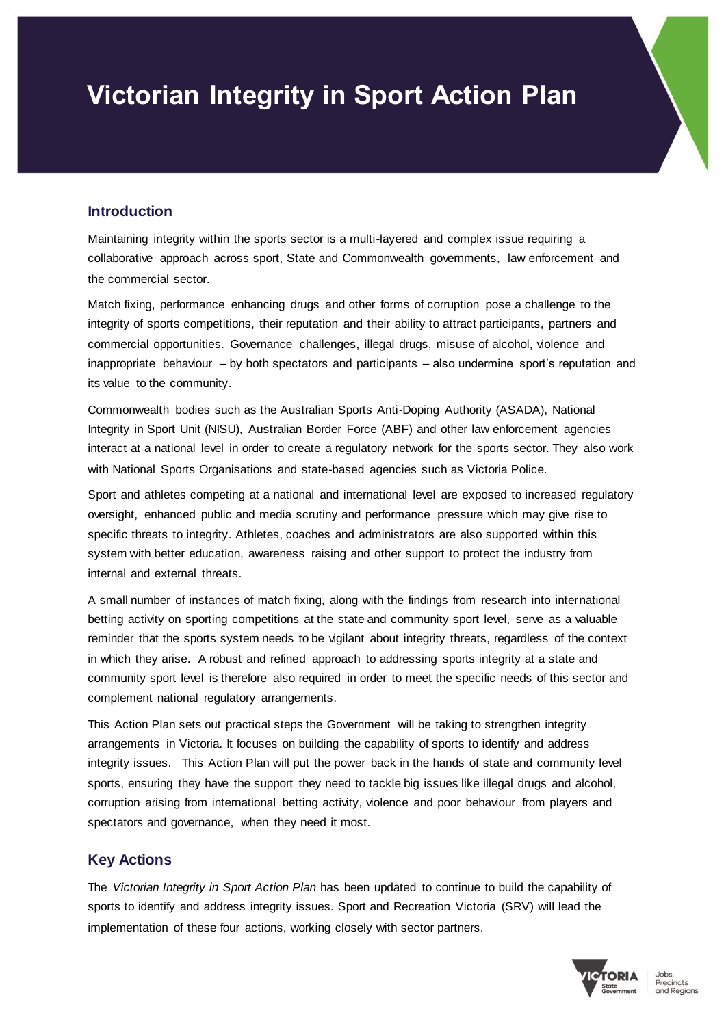# **Victorian Integrity in Sport Action Plan**

#### **Introduction**

Maintaining integrity within the sports sector is a multi-layered and complex issue requiring a collaborative approach across sport, State and Commonwealth governments, law enforcement and the commercial sector.

Match fixing, performance enhancing drugs and other forms of corruption pose a challenge to the integrity of sports competitions, their reputation and their ability to attract participants, partners and commercial opportunities. Governance challenges, illegal drugs, misuse of alcohol, violence and inappropriate behaviour – by both spectators and participants – also undermine sport's reputation and its value to the community.

Commonwealth bodies such as the Australian Sports Anti-Doping Authority (ASADA), National Integrity in Sport Unit (NISU), Australian Border Force (ABF) and other law enforcement agencies interact at a national level in order to create a regulatory network for the sports sector. They also work with National Sports Organisations and state-based agencies such as Victoria Police.

Sport and athletes competing at a national and international level are exposed to increased regulatory oversight, enhanced public and media scrutiny and performance pressure which may give rise to specific threats to integrity. Athletes, coaches and administrators are also supported within this system with better education, awareness raising and other support to protect the industry from internal and external threats.

A small number of instances of match fixing, along with the findings from research into international betting activity on sporting competitions at the state and community sport level, serve as a valuable reminder that the sports system needs to be vigilant about integrity threats, regardless of the context in which they arise. A robust and refined approach to addressing sports integrity at a state and community sport level is therefore also required in order to meet the specific needs of this sector and complement national regulatory arrangements.

This Action Plan sets out practical steps the Government will be taking to strengthen integrity arrangements in Victoria. It focuses on building the capability of sports to identify and address integrity issues. This Action Plan will put the power back in the hands of state and community level sports, ensuring they have the support they need to tackle big issues like illegal drugs and alcohol, corruption arising from international betting activity, violence and poor behaviour from players and spectators and governance, when they need it most.

# **Key Actions**

The *Victorian Integrity in Sport Action Plan* has been updated to continue to build the capability of sports to identify and address integrity issues. Sport and Recreation Victoria (SRV) will lead the implementation of these four actions, working closely with sector partners.

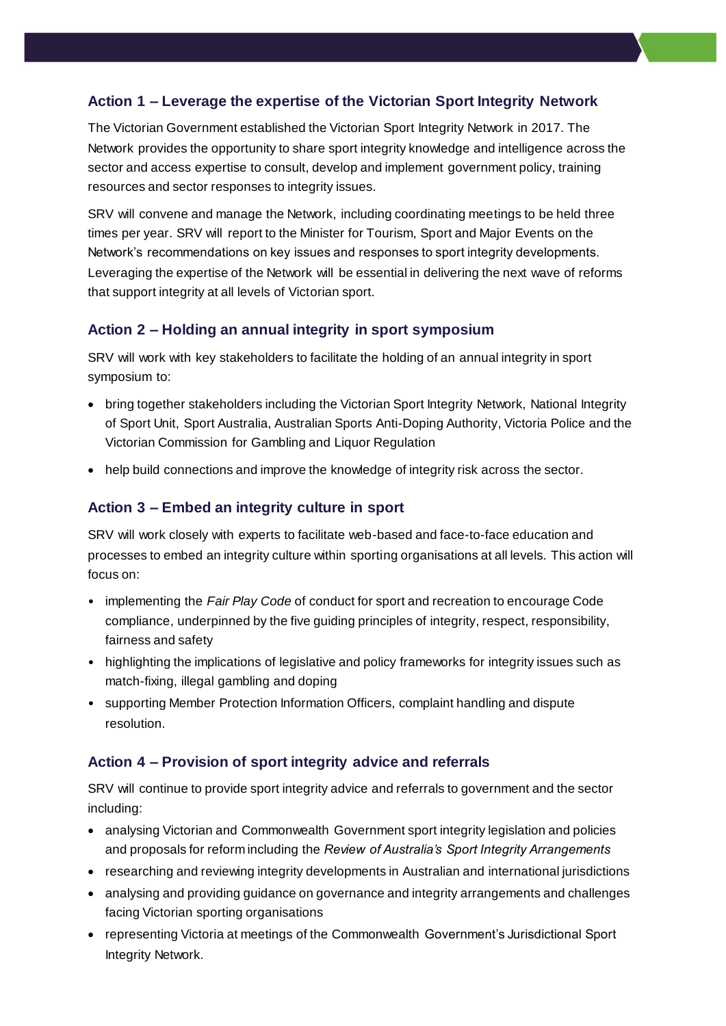# **Action 1 – Leverage the expertise of the Victorian Sport Integrity Network**

The Victorian Government established the Victorian Sport Integrity Network in 2017. The Network provides the opportunity to share sport integrity knowledge and intelligence across the sector and access expertise to consult, develop and implement government policy, training resources and sector responses to integrity issues.

SRV will convene and manage the Network, including coordinating meetings to be held three times per year. SRV will report to the Minister for Tourism, Sport and Major Events on the Network's recommendations on key issues and responses to sport integrity developments. Leveraging the expertise of the Network will be essential in delivering the next wave of reforms that support integrity at all levels of Victorian sport.

# **Action 2 – Holding an annual integrity in sport symposium**

SRV will work with key stakeholders to facilitate the holding of an annual integrity in sport symposium to:

- bring together stakeholders including the Victorian Sport Integrity Network, National Integrity of Sport Unit, Sport Australia, Australian Sports Anti-Doping Authority, Victoria Police and the Victorian Commission for Gambling and Liquor Regulation
- help build connections and improve the knowledge of integrity risk across the sector.

# **Action 3 – Embed an integrity culture in sport**

SRV will work closely with experts to facilitate web-based and face-to-face education and processes to embed an integrity culture within sporting organisations at all levels. This action will focus on:

- implementing the *Fair Play Code* of conduct for sport and recreation to encourage Code compliance, underpinned by the five guiding principles of integrity, respect, responsibility, fairness and safety
- highlighting the implications of legislative and policy frameworks for integrity issues such as match-fixing, illegal gambling and doping
- supporting Member Protection Information Officers, complaint handling and dispute resolution.

# **Action 4 – Provision of sport integrity advice and referrals**

SRV will continue to provide sport integrity advice and referrals to government and the sector including:

- analysing Victorian and Commonwealth Government sport integrity legislation and policies and proposals for reform including the *Review of Australia's Sport Integrity Arrangements*
- researching and reviewing integrity developments in Australian and international jurisdictions
- analysing and providing guidance on governance and integrity arrangements and challenges facing Victorian sporting organisations
- representing Victoria at meetings of the Commonwealth Government's Jurisdictional Sport Integrity Network.